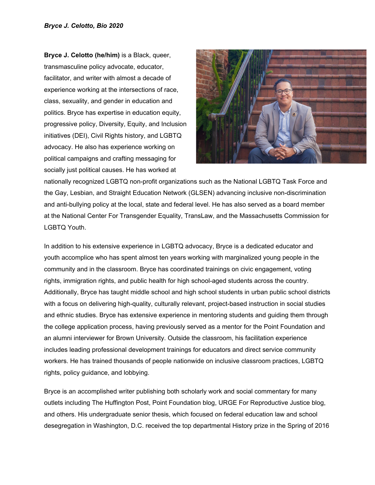**Bryce J. Celotto (he/him)** is a Black, queer, transmasculine policy advocate, educator, facilitator, and writer with almost a decade of experience working at the intersections of race, class, sexuality, and gender in education and politics. Bryce has expertise in education equity, progressive policy, Diversity, Equity, and Inclusion initiatives (DEI), Civil Rights history, and LGBTQ advocacy. He also has experience working on political campaigns and crafting messaging for socially just political causes. He has worked at



nationally recognized LGBTQ non-profit organizations such as the National LGBTQ Task Force and the Gay, Lesbian, and Straight Education Network (GLSEN) advancing inclusive non-discrimination and anti-bullying policy at the local, state and federal level. He has also served as a board member at the National Center For Transgender Equality, TransLaw, and the Massachusetts Commission for LGBTQ Youth.

In addition to his extensive experience in LGBTQ advocacy, Bryce is a dedicated educator and youth accomplice who has spent almost ten years working with marginalized young people in the community and in the classroom. Bryce has coordinated trainings on civic engagement, voting rights, immigration rights, and public health for high school-aged students across the country. Additionally, Bryce has taught middle school and high school students in urban public school districts with a focus on delivering high-quality, culturally relevant, project-based instruction in social studies and ethnic studies. Bryce has extensive experience in mentoring students and guiding them through the college application process, having previously served as a mentor for the Point Foundation and an alumni interviewer for Brown University. Outside the classroom, his facilitation experience includes leading professional development trainings for educators and direct service community workers. He has trained thousands of people nationwide on inclusive classroom practices, LGBTQ rights, policy guidance, and lobbying.

Bryce is an accomplished writer publishing both scholarly work and social commentary for many outlets including The Huffington Post, Point Foundation blog, URGE For Reproductive Justice blog, and others. His undergraduate senior thesis, which focused on federal education law and school desegregation in Washington, D.C. received the top departmental History prize in the Spring of 2016